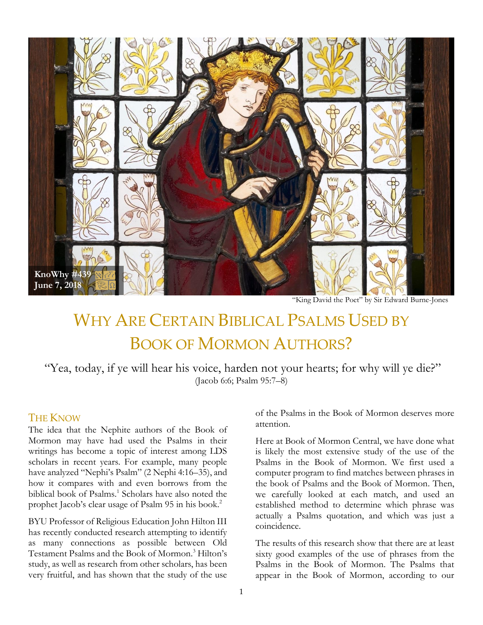

"King David the Poet" by Sir Edward Burne-Jones

# WHY ARE CERTAIN BIBLICAL PSALMS USED BY BOOK OF MORMON AUTHORS?

"Yea, today, if ye will hear his voice, harden not your hearts; for why will ye die?" (Jacob 6:6; Psalm 95:7–8)

#### **THE KNOW**

The idea that the Nephite authors of the Book of Mormon may have had used the Psalms in their writings has become a topic of interest among LDS scholars in recent years. For example, many people have analyzed "Nephi's Psalm" (2 Nephi 4:16–35), and how it compares with and even borrows from the biblical book of Psalms.<sup>1</sup> Scholars have also noted the prophet Jacob's clear usage of Psalm 95 in his book.<sup>2</sup>

BYU Professor of Religious Education John Hilton III has recently conducted research attempting to identify as many connections as possible between Old Testament Psalms and the Book of Mormon.<sup>3</sup> Hilton's study, as well as research from other scholars, has been very fruitful, and has shown that the study of the use of the Psalms in the Book of Mormon deserves more attention.

Here at Book of Mormon Central, we have done what is likely the most extensive study of the use of the Psalms in the Book of Mormon. We first used a computer program to find matches between phrases in the book of Psalms and the Book of Mormon. Then, we carefully looked at each match, and used an established method to determine which phrase was actually a Psalms quotation, and which was just a coincidence.

The results of this research show that there are at least sixty good examples of the use of phrases from the Psalms in the Book of Mormon. The Psalms that appear in the Book of Mormon, according to our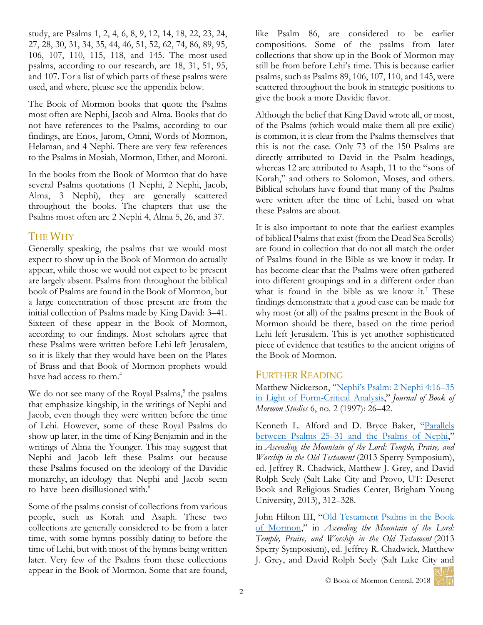study, are Psalms 1, 2, 4, 6, 8, 9, 12, 14, 18, 22, 23, 24, 27, 28, 30, 31, 34, 35, 44, 46, 51, 52, 62, 74, 86, 89, 95, 106, 107, 110, 115, 118, and 145. The most-used psalms, according to our research, are 18, 31, 51, 95, and 107. For a list of which parts of these psalms were used, and where, please see the appendix below.

The Book of Mormon books that quote the Psalms most often are Nephi, Jacob and Alma. Books that do not have references to the Psalms, according to our findings, are Enos, Jarom, Omni, Words of Mormon, Helaman, and 4 Nephi. There are very few references to the Psalms in Mosiah, Mormon, Ether, and Moroni.

In the books from the Book of Mormon that do have several Psalms quotations (1 Nephi, 2 Nephi, Jacob, Alma, 3 Nephi), they are generally scattered throughout the books. The chapters that use the Psalms most often are 2 Nephi 4, Alma 5, 26, and 37.

## THE WHY

Generally speaking, the psalms that we would most expect to show up in the Book of Mormon do actually appear, while those we would not expect to be present are largely absent. Psalms from throughout the biblical book of Psalms are found in the Book of Mormon, but a large concentration of those present are from the initial collection of Psalms made by King David: 3–41. Sixteen of these appear in the Book of Mormon, according to our findings. Most scholars agree that these Psalms were written before Lehi left Jerusalem, so it is likely that they would have been on the Plates of Brass and that Book of Mormon prophets would have had access to them.<sup>4</sup>

We do not see many of the Royal Psalms,<sup>5</sup> the psalms that emphasize kingship, in the writings of Nephi and Jacob, even though they were written before the time of Lehi. However, some of these Royal Psalms do show up later, in the time of King Benjamin and in the writings of Alma the Younger. This may suggest that Nephi and Jacob left these Psalms out because these Psalms focused on the ideology of the Davidic monarchy, an ideology that Nephi and Jacob seem to have been disillusioned with.<sup>6</sup>

Some of the psalms consist of collections from various people, such as Korah and Asaph. These two collections are generally considered to be from a later time, with some hymns possibly dating to before the time of Lehi, but with most of the hymns being written later. Very few of the Psalms from these collections appear in the Book of Mormon. Some that are found,

like Psalm 86, are considered to be earlier compositions. Some of the psalms from later collections that show up in the Book of Mormon may still be from before Lehi's time. This is because earlier psalms, such as Psalms 89, 106, 107, 110, and 145, were scattered throughout the book in strategic positions to give the book a more Davidic flavor.

Although the belief that King David wrote all, or most, of the Psalms (which would make them all pre-exilic) is common, it is clear from the Psalms themselves that this is not the case. Only 73 of the 150 Psalms are directly attributed to David in the Psalm headings, whereas 12 are attributed to Asaph, 11 to the "sons of Korah," and others to Solomon, Moses, and others. Biblical scholars have found that many of the Psalms were written after the time of Lehi, based on what these Psalms are about.

It is also important to note that the earliest examples of biblical Psalms that exist (from the Dead Sea Scrolls) are found in collection that do not all match the order of Psalms found in the Bible as we know it today. It has become clear that the Psalms were often gathered into different groupings and in a different order than what is found in the bible as we know it.<sup>7</sup> These findings demonstrate that a good case can be made for why most (or all) of the psalms present in the Book of Mormon should be there, based on the time period Lehi left Jerusalem. This is yet another sophisticated piece of evidence that testifies to the ancient origins of the Book of Mormon.

### FURTHER READING

Matthew Nickerson, ["Nephi's Psalm: 2 Nephi 4:16–](https://publications.mi.byu.edu/publications/jbms/6/2/S00003-50cb760cec7d73Nickerson.pdf)35 [in Light of Form-Critical Analysis](https://publications.mi.byu.edu/publications/jbms/6/2/S00003-50cb760cec7d73Nickerson.pdf)," *Journal of Book of Mormon Studies* 6, no. 2 (1997): 26–42.

Kenneth L. Alford and D. Bryce Baker, "Parallels between Psalms 25–[31 and the Psalms of Nephi](https://scholarsarchive.byu.edu/cgi/viewcontent.cgi?article=2656&context=facpub)," in *Ascending the Mountain of the Lord: Temple, Praise, and Worship in the Old Testament* (2013 Sperry Symposium), ed. Jeffrey R. Chadwick, Matthew J. Grey, and David Rolph Seely (Salt Lake City and Provo, UT: Deseret Book and Religious Studies Center, Brigham Young University, 2013), 312–328.

John Hilton III, "Old Testament Psalms in the Book [of Mormon](https://rsc.byu.edu/archived/ascending-mountain-lord-temple-praise-and-worship-old-testament/old-testament-psalms-book)," in *Ascending the Mountain of the Lord: Temple, Praise, and Worship in the Old Testament* (2013 Sperry Symposium), ed. Jeffrey R. Chadwick, Matthew J. Grey, and David Rolph Seely (Salt Lake City and री हर्रत

© Book of Mormon Central, 2018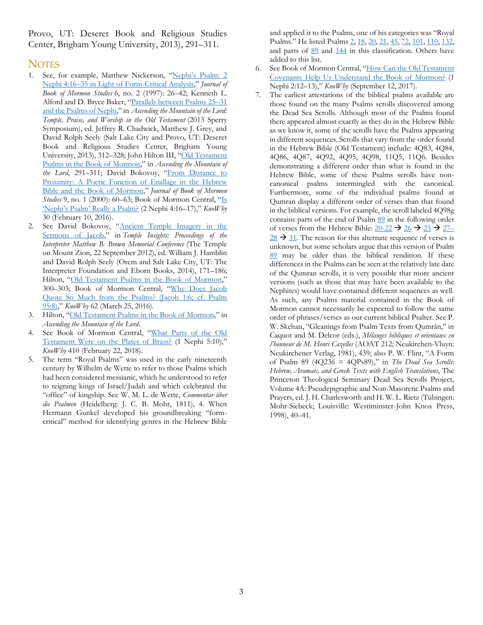Provo, UT: Deseret Book and Religious Studies Center, Brigham Young University, 2013), 291–311.

#### **NOTES**

- 1. See, for example, Matthew Nickerson, "Nephi['s Psalm: 2](https://publications.mi.byu.edu/publications/jbms/6/2/S00003-50cb760cec7d73Nickerson.pdf)  Nephi 4:16–[35 in Light of Form-Critical Analysis,](https://publications.mi.byu.edu/publications/jbms/6/2/S00003-50cb760cec7d73Nickerson.pdf)" *Journal of Book of Mormon Studies* 6, no. 2 (1997): 26–42; Kenneth L. Alford and D. Bryce Baker, "[Parallels between Psalms 25](https://scholarsarchive.byu.edu/cgi/viewcontent.cgi?article=2656&context=facpub)–31 [and the Psalms of Nephi,](https://scholarsarchive.byu.edu/cgi/viewcontent.cgi?article=2656&context=facpub)" in *Ascending the Mountain of the Lord: Temple, Praise, and Worship in the Old Testament* (2013 Sperry Symposium), ed. Jeffrey R. Chadwick, Matthew J. Grey, and David Rolph Seely (Salt Lake City and Provo, UT: Deseret Book and Religious Studies Center, Brigham Young University, 2013), 312–328; John Hilton III, "[Old Testament](https://rsc.byu.edu/archived/ascending-mountain-lord-temple-praise-and-worship-old-testament/old-testament-psalms-book)  [Psalms in the Book of Mormon](https://rsc.byu.edu/archived/ascending-mountain-lord-temple-praise-and-worship-old-testament/old-testament-psalms-book)," in *Ascending the Mountain of the Lord*, 291–311; David Bokovoy, "[From Distance to](http://publications.mi.byu.edu/fullscreen/?pub=1395&index=13)  [Proximity: A Poetic Function of Enallage in the Hebrew](http://publications.mi.byu.edu/fullscreen/?pub=1395&index=13)  [Bible and the Book of Mormon](http://publications.mi.byu.edu/fullscreen/?pub=1395&index=13)," *Journal of Book of Mormon Studies* 9, no. 1 (2000): 60–63; Book of Mormon Central, "[Is](https://knowhy.bookofmormoncentral.org/content/is-nephis-psalm-really-a-psalm)  ['Nephi's Psalm' Really a Psalm?](https://knowhy.bookofmormoncentral.org/content/is-nephis-psalm-really-a-psalm) (2 Nephi 4:16–17)," *KnoWhy* 30 (February 10, 2016).
- 2. See David Bokovoy, "[Ancient Temple Imagery in the](http://www.mormoninterpreter.com/david-bokovoy-on-holiness-to-the-lord-biblical-temple-imagery-in-the-sermons-of-jacob-the-priest/)  [Sermons of Jacob,](http://www.mormoninterpreter.com/david-bokovoy-on-holiness-to-the-lord-biblical-temple-imagery-in-the-sermons-of-jacob-the-priest/)" in *Temple Insights: Proceedings of the Interpreter Matthew B. Brown Memorial Conference* (The Temple on Mount Zion, 22 September 2012), ed. William J. Hamblin and David Rolph Seely (Orem and Salt Lake City, UT: The Interpreter Foundation and Eborn Books, 2014), 171–186; Hilton, "[Old Testament Psalms in the Book of Mormon,](https://rsc.byu.edu/archived/ascending-mountain-lord-temple-praise-and-worship-old-testament/old-testament-psalms-book)" 300–303; Book of Mormon Central, "Why [Does Jacob](https://knowhy.bookofmormoncentral.org/content/why-does-jacob-quote-so-much-from-the-psalms)  [Quote So Much from the Psalms? \(Jacob 1:6; cf. Psalm](https://knowhy.bookofmormoncentral.org/content/why-does-jacob-quote-so-much-from-the-psalms)  [95:8\),](https://knowhy.bookofmormoncentral.org/content/why-does-jacob-quote-so-much-from-the-psalms)" *KnoWhy* 62 (March 25, 2016).
- 3. Hilton, "[Old Testament Psalms in the Book of Mormon,](https://rsc.byu.edu/archived/ascending-mountain-lord-temple-praise-and-worship-old-testament/old-testament-psalms-book)" in *Ascending the Mountain of the Lord*.
- 4. See Book of Mormon Central, "[What Parts of the Old](https://knowhy.bookofmormoncentral.org/content/what-parts-of-the-old-testament-were-on-the-plates-of-brass)  Testament [Were on the Plates of Brass?](https://knowhy.bookofmormoncentral.org/content/what-parts-of-the-old-testament-were-on-the-plates-of-brass) (1 Nephi 5:10)," *KnoWhy* 410 (February 22, 2018).
- 5. The term "Royal Psalms" was used in the early nineteenth century by Wilhelm de Wette to refer to those Psalms which had been considered messianic, which he understood to refer to reigning kings of Israel/Judah and which celebrated the "office" of kingship. See W. M. L. de Wette, *Commentar über die Psalmen* (Heidelberg: J. C. B. Mohr, 1811), 4. When Hermann Gunkel developed his groundbreaking "formcritical" method for identifying genres in the Hebrew Bible

and applied it to the Psalms, one of his categories was "Royal Psalms." He listed Psalms [2,](https://www.lds.org/scriptures/ot/ps/2?lang=eng) [18,](https://www.lds.org/scriptures/ot/ps/18?lang=eng) [20,](https://www.lds.org/scriptures/ot/ps/20?lang=eng) [21,](https://www.lds.org/scriptures/ot/ps/21?lang=eng) [45,](https://www.lds.org/scriptures/ot/ps/45?lang=eng) [72,](https://www.lds.org/scriptures/ot/ps/72?lang=eng) [101,](https://www.lds.org/scriptures/ot/ps/101?lang=eng) [110,](https://www.lds.org/scriptures/ot/ps/110?lang=eng) [132,](https://www.lds.org/scriptures/ot/ps/132?lang=eng) and parts of [89](https://www.lds.org/scriptures/ot/ps/89?lang=eng) and [144](https://www.lds.org/scriptures/ot/ps/144?lang=eng) in this classification. Others have added to this list.

- 6. See Book of Mormon Central, "[How Can the Old Testament](https://knowhy.bookofmormoncentral.org/content/how-can-the-old-testament-covenants-help-us-understand-the-book-of-mormon)  [Covenants Help Us Understand the Book of Mormon?](https://knowhy.bookofmormoncentral.org/content/how-can-the-old-testament-covenants-help-us-understand-the-book-of-mormon) (1 Nephi 2:12–13)," *KnoWhy* (September 12, 2017).
- The earliest attestations of the biblical psalms available are those found on the many Psalms scrolls discovered among the Dead Sea Scrolls. Although most of the Psalms found there appeared almost exactly as they do in the Hebrew Bible as we know it, some of the scrolls have the Psalms appearing in different sequences. Scrolls that vary from the order found in the Hebrew Bible (Old Testament) include: 4Q83, 4Q84, 4Q86, 4Q87, 4Q92, 4Q95, 4Q98, 11Q5, 11Q6. Besides demonstrating a different order than what is found in the Hebrew Bible, some of these Psalms scrolls have noncanonical psalms intermingled with the canonical. Furthermore, some of the individual psalms found at Qumran display a different order of verses than that found in the biblical versions. For example, the scroll labeled 4Q98g contains parts of the end of Psalm [89](https://www.lds.org/scriptures/ot/ps/89?lang=eng) in the following order of verses from the Hebrew Bible:  $20-22 \rightarrow 26 \rightarrow 23 \rightarrow 27$  $20-22 \rightarrow 26 \rightarrow 23 \rightarrow 27$  $20-22 \rightarrow 26 \rightarrow 23 \rightarrow 27$  $20-22 \rightarrow 26 \rightarrow 23 \rightarrow 27$  $20-22 \rightarrow 26 \rightarrow 23 \rightarrow 27$  $20-22 \rightarrow 26 \rightarrow 23 \rightarrow 27$  $28 \rightarrow 31$  $28 \rightarrow 31$ . The reason for this alternate sequence of verses is unknown, but some scholars argue that this version of Psalm [89](https://www.lds.org/scriptures/ot/ps/89?lang=eng) may be older than the biblical rendition. If these differences in the Psalms can be seen at the relatively late date of the Qumran scrolls, it is very possible that more ancient versions (such as those that may have been available to the Nephites) would have contained different sequences as well. As such, any Psalms material contained in the Book of Mormon cannot necessarily be expected to follow the same order of phrases/verses as our current biblical Psalter. See P. W. Skehan, "Gleanings from Psalm Texts from Qumrân," in Caquot and M. Delcor (eds.), *Mélanges bibliques et orientaux en l'honneur de M. Henri Cazelles* (AOAT 212; Neukirchen-Vluyn: Neukirchener Verlag, 1981), 439; also P. W. Flint, "A Form of Psalm 89 (4Q236 = 4QPs89)," in *The Dead Sea Scrolls*: *Hebrew, Aramaic, and Greek Texts with English Translations*, The Princeton Theological Seminary Dead Sea Scrolls Project, Volume 4A: Pseudepigraphic and Non-Masoretic Psalms and Prayers, ed. J. H. Charlesworth and H. W. L. Rietz (Tübingen: Mohr-Siebeck; Louisville: Westiminster-John Knox Press, 1998), 40–41.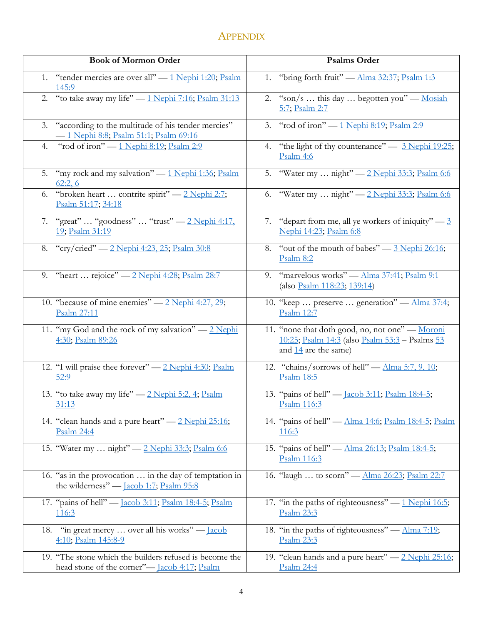# **APPENDIX**

| <b>Book of Mormon Order</b>                                                                                    | <b>Psalms Order</b>                                                                                                                |
|----------------------------------------------------------------------------------------------------------------|------------------------------------------------------------------------------------------------------------------------------------|
| 1. "tender mercies are over all" - 1 Nephi 1:20; Psalm<br>145:9                                                | 1. "bring forth fruit" - Alma 32:37; Psalm 1:3                                                                                     |
| 2. "to take away my life" - 1 Nephi 7:16; Psalm 31:13                                                          | 2. "son/s  this day  begotten you" - Mosiah<br>5:7; Psalm 2:7                                                                      |
| "according to the multitude of his tender mercies"<br>3.<br>- 1 Nephi 8:8; Psalm 51:1; Psalm 69:16             | 3. "rod of iron" — 1 Nephi 8:19; Psalm 2:9                                                                                         |
| "rod of iron" — 1 Nephi 8:19; Psalm 2:9<br>4.                                                                  | "the light of thy countenance" $-$ 3 Nephi 19:25;<br>4.<br>Psalm 4:6                                                               |
| "my rock and my salvation" - 1 Nephi 1:36; Psalm<br>5.<br>62:2,6                                               | 5. "Water my  night" - 2 Nephi 33:3; Psalm 6:6                                                                                     |
| "broken heart  contrite spirit" - 2 Nephi 2:7;<br>6.<br>Psalm 51:17; 34:18                                     | 6. "Water my  night" - 2 Nephi 33:3; Psalm 6:6                                                                                     |
| 7. "great"  "goodness"  "trust" — 2 Nephi 4:17,<br><u>19; Psalm 31:19</u>                                      | "depart from me, all ye workers of iniquity" $-3$<br>7.<br>Nephi 14:23; Psalm 6:8                                                  |
| 8. "cry/cried" — 2 Nephi 4:23, 25; Psalm 30:8                                                                  | "out of the mouth of babes" $-3$ Nephi 26:16;<br>8.<br>Psalm $8:2$                                                                 |
| 9. "heart  rejoice" — 2 Nephi 4:28; Psalm 28:7                                                                 | "marvelous works" — Alma 37:41; Psalm 9:1<br>9.<br>(also Psalm 118:23; 139:14)                                                     |
| 10. "because of mine enemies" — 2 Nephi 4:27, 29;<br>Psalm 27:11                                               | 10. "keep  preserve  generation" — Alma 37:4;<br>Psalm 12:7                                                                        |
| 11. "my God and the rock of my salvation" $-2$ Nephi<br>4:30; Psalm 89:26                                      | 11. "none that doth good, no, not one" - Moroni<br><u>10:25; Psalm 14:3</u> (also Psalm 53:3 - Psalms 53<br>and $14$ are the same) |
| 12. "I will praise thee forever" - 2 Nephi 4:30; Psalm<br>52:9                                                 | 12. "chains/sorrows of hell" $-\underline{\text{Alma 5:7, 9, 10}}$ ;<br>Psalm 18:5                                                 |
| 13. "to take away my life" — 2 Nephi 5:2, 4; Psalm<br>31:13                                                    | 13. "pains of hell" — <u>Jacob 3:11</u> ; Psalm 18:4-5;<br>Psalm 116:3                                                             |
| 14. "clean hands and a pure heart" - 2 Nephi 25:16;<br>Psalm 24:4                                              | 14. "pains of hell" - Alma 14:6; Psalm 18:4-5; Psalm<br><u>116:3</u>                                                               |
| 15. "Water my  night" - 2 Nephi 33:3; Psalm 6:6                                                                | 15. "pains of hell" — Alma 26:13; Psalm 18:4-5;<br>Psalm 116:3                                                                     |
| 16. "as in the provocation  in the day of temptation in<br>the wilderness" — <u>Jacob 1:7; Psalm 95:8</u>      | 16. "laugh  to scorn" - Alma 26:23; Psalm 22:7                                                                                     |
| 17. "pains of hell" — <u>Jacob 3:11; Psalm 18:4-5; Psalm</u><br><u>116:3</u>                                   | 17. "in the paths of righteousness" $-1$ Nephi 16:5;<br>Psalm 23:3                                                                 |
| "in great mercy  over all his works" - Jacob<br>18.<br>4:10; Psalm 145:8-9                                     | 18. "in the paths of righteousness" — Alma 7:19;<br>Psalm 23:3                                                                     |
| 19. "The stone which the builders refused is become the<br>head stone of the corner"- <u>Jacob 4:17; Psalm</u> | 19. "clean hands and a pure heart" - 2 Nephi 25:16;<br>Psalm 24:4                                                                  |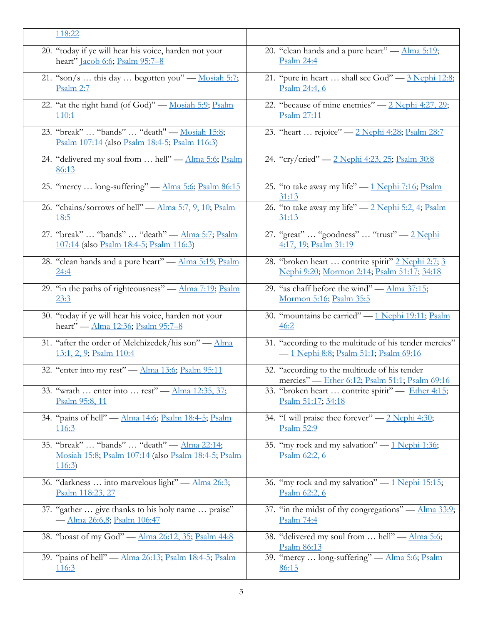| 118:22                                                                                                      |                                                                                                 |
|-------------------------------------------------------------------------------------------------------------|-------------------------------------------------------------------------------------------------|
| 20. "today if ye will hear his voice, harden not your                                                       | 20. "clean hands and a pure heart" - Alma 5:19;                                                 |
| heart" Jacob 6:6; Psalm 95:7-8                                                                              | Psalm 24:4                                                                                      |
| 21. "son/s  this day  begotten you" — Mosiah 5:7;                                                           | 21. "pure in heart  shall see God" - 3 Nephi 12:8;                                              |
| Psalm 2:7                                                                                                   | Psalm 24:4, 6                                                                                   |
| 22. "at the right hand (of God)" - Mosiah 5:9; Psalm                                                        | 22. "because of mine enemies" — 2 Nephi 4:27, 29;                                               |
| 110:1                                                                                                       | Psalm 27:11                                                                                     |
| 23. "break"  "bands"  "death" — Mosiah 15:8;<br>Psalm 107:14 (also Psalm 18:4-5; Psalm 116:3)               | 23. "heart  rejoice" - 2 Nephi 4:28; Psalm 28:7                                                 |
| 24. "delivered my soul from  hell" - Alma 5:6; Psalm<br>86:13                                               | 24. "cry/cried" — 2 Nephi 4:23, 25; Psalm 30:8                                                  |
| 25. "mercy  long-suffering" - Alma 5:6; Psalm 86:15                                                         | 25. "to take away my life" - 1 Nephi 7:16; Psalm<br>31:13                                       |
| 26. "chains/sorrows of hell" — Alma 5:7, 9, 10; Psalm                                                       | 26. "to take away my life" — 2 Nephi 5:2, 4; Psalm                                              |
| <u>18:5</u>                                                                                                 | 31:13                                                                                           |
| 27. "break"  "bands"  "death" — Alma 5:7; Psalm                                                             | 27. "great"  "goodness"  "trust" - 2 Nephi                                                      |
| 107:14 (also Psalm 18:4-5; Psalm 116:3)                                                                     | 4:17, 19; Psalm 31:19                                                                           |
| 28. "clean hands and a pure heart" - Alma 5:19; Psalm                                                       | 28. "broken heart  contrite spirit" 2 Nephi 2:7; 3                                              |
| 24:4                                                                                                        | <u>Nephi 9:20; Mormon 2:14; Psalm 51:17; 34:18</u>                                              |
| 29. "in the paths of righteousness" — Alma 7:19; Psalm                                                      | 29. "as chaff before the wind" — $\Delta$ lma 37:15;                                            |
| 23:3                                                                                                        | <u>Mormon 5:16; Psalm 35:5</u>                                                                  |
| 30. "today if ye will hear his voice, harden not your                                                       | 30. "mountains be carried" - 1 Nephi 19:11; Psalm                                               |
| heart" — Alma 12:36; Psalm 95:7-8                                                                           | 46:2                                                                                            |
| 31. "after the order of Melchizedek/his son" - Alma                                                         | 31. "according to the multitude of his tender mercies"                                          |
| 13:1, 2, 9; Psalm 110:4                                                                                     | - 1 Nephi 8:8; Psalm 51:1; Psalm 69:16                                                          |
| 32. "enter into my rest" - Alma 13:6; Psalm 95:11                                                           | 32. "according to the multitude of his tender<br>mercies" - Ether 6:12; Psalm 51:1; Psalm 69:16 |
| 33. "wrath  enter into  rest" — Alma 12:35, 37;                                                             | 33. "broken heart  contrite spirit" — Ether 4:15;                                               |
| Psalm 95:8, 11                                                                                              | Psalm 51:17; 34:18                                                                              |
| 34. "pains of hell" - Alma 14:6; Psalm 18:4-5; Psalm                                                        | 34. "I will praise thee forever" — 2 Nephi 4:30;                                                |
| <u>116:3</u>                                                                                                | Psalm 52:9                                                                                      |
| 35. "break"  "bands"  "death" — Alma 22:14;<br>Mosiah 15:8; Psalm 107:14 (also Psalm 18:4-5; Psalm<br>116:3 | 35. "my rock and my salvation" — 1 Nephi 1:36;<br>Psalm 62:2, 6                                 |
| 36. "darkness  into marvelous light" - Alma 26:3;                                                           | 36. "my rock and my salvation" — 1 Nephi 15:15;                                                 |
| Psalm 118:23, 27                                                                                            | Psalm 62:2, 6                                                                                   |
| 37. "gather  give thanks to his holy name  praise"                                                          | 37. "in the midst of thy congregations" — Alma 33:9;                                            |
| - Alma 26:6,8; Psalm 106:47                                                                                 | Psalm 74:4                                                                                      |
| 38. "boast of my God" - Alma 26:12, 35; Psalm 44:8                                                          | 38. "delivered my soul from  hell" - Alma 5:6;<br>Psalm 86:13                                   |
| 39. "pains of hell" — Alma 26:13; Psalm 18:4-5; Psalm                                                       | 39. "mercy  long-suffering" - Alma 5:6; Psalm                                                   |
| <u>116:3</u>                                                                                                | 86:15                                                                                           |